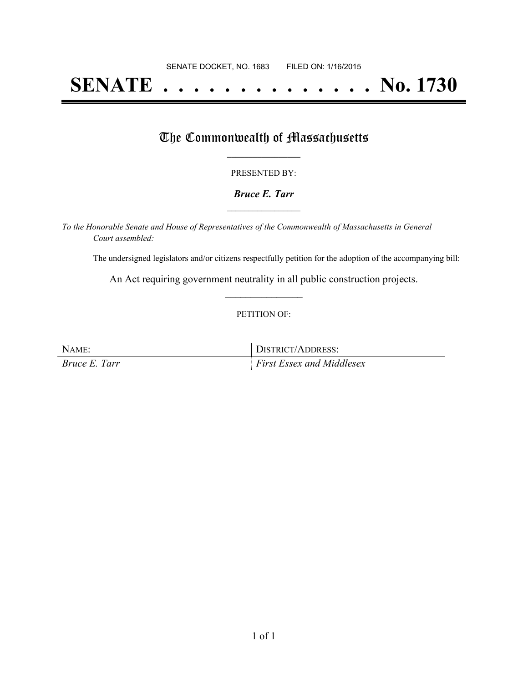# **SENATE . . . . . . . . . . . . . . No. 1730**

## The Commonwealth of Massachusetts

#### PRESENTED BY:

#### *Bruce E. Tarr* **\_\_\_\_\_\_\_\_\_\_\_\_\_\_\_\_\_**

*To the Honorable Senate and House of Representatives of the Commonwealth of Massachusetts in General Court assembled:*

The undersigned legislators and/or citizens respectfully petition for the adoption of the accompanying bill:

An Act requiring government neutrality in all public construction projects. **\_\_\_\_\_\_\_\_\_\_\_\_\_\_\_**

#### PETITION OF:

NAME: DISTRICT/ADDRESS: *Bruce E. Tarr First Essex and Middlesex*